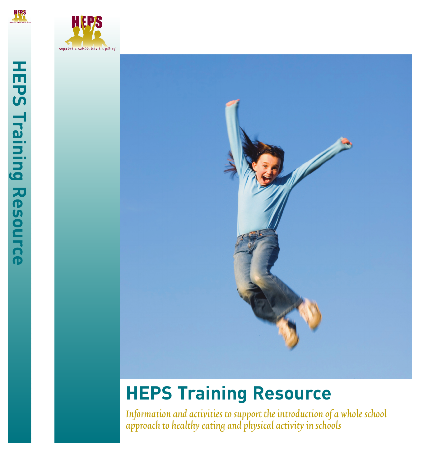







# **HEPS Training Resource**

Information and activities to support the introduction of a whole school approach to healthy eating and physical activity in schools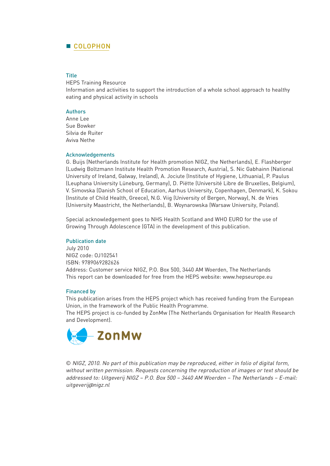# **COLOPHON**

#### **Title**

HEPS Training Resource

Information and activities to support the introduction of a whole school approach to healthy eating and physical activity in schools

### **Authors**

Anne Lee Sue Bowker Silvia de Ruiter Aviva Nethe

#### Acknowledgements

G. Buijs (Netherlands Institute for Health promotion NIGZ, the Netherlands), E. Flashberger (Ludwig Boltzmann Institute Health Promotion Research, Austria), S. Nic Gabhainn (National University of Ireland, Galway, Ireland), A. Jociute (Institute of Hygiene, Lithuania), P. Paulus (Leuphana University Lüneburg, Germany), D. Piëtte (Université Libre de Bruxelles, Belgium), V. Simovska (Danish School of Education, Aarhus University, Copenhagen, Denmark), K. Sokou (Institute of Child Health, Greece), N.G. Viig (University of Bergen, Norway), N. de Vries (University Maastricht, the Netherlands), B. Woynarowska (Warsaw University, Poland).

Special acknowledgement goes to NHS Health Scotland and WHO EURO for the use of Growing Through Adolescence (GTA) in the development of this publication.

#### Publication date

July 2010 NIGZ code: OJ102541 ISBN: 9789069282626 Address: Customer service NIGZ, P.O. Box 500, 3440 AM Woerden, The Netherlands This report can be downloaded for free from the HEPS website: www.hepseurope.eu

#### Financed by

This publication arises from the HEPS project which has received funding from the European Union, in the framework of the Public Health Programme.

The HEPS project is co-funded by ZonMw (The Netherlands Organisation for Health Research and Development).



© NIGZ, 2010. No part of this publication may be reproduced, either in folio of digital form, without written permission. Requests concerning the reproduction of images or text should be addressed to: Uitgeverij NIGZ – P.O. Box 500 – 3440 AM Woerden – The Netherlands – E-mail: uitgeverij@nigz.nl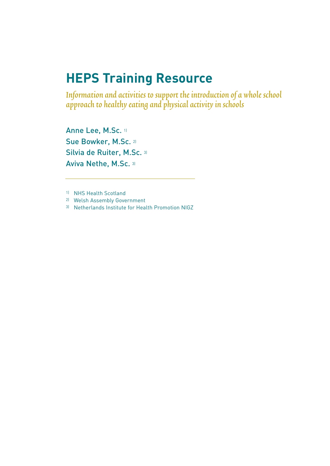# **HEPS Training Resource**

Information and activities to support the introduction of a whole school approach to healthy eating and physical activity in schools

Anne Lee, M.Sc. 11 Sue Bowker, M.Sc. 2) Silvia de Ruiter, M.Sc. 31 Aviva Nethe, M.Sc. 3)

1) NHS Health Scotland

2) Welsh Assembly Government

3) Netherlands Institute for Health Promotion NIGZ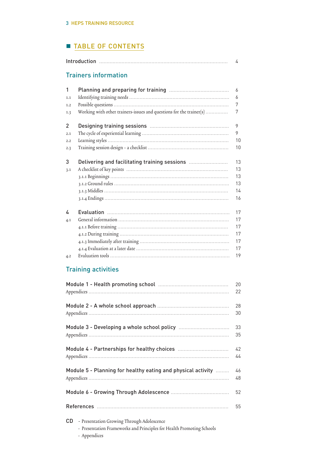# **TABLE OF CONTENTS**

| 4                                   |                                                                     |                                        |
|-------------------------------------|---------------------------------------------------------------------|----------------------------------------|
|                                     | <b>Trainers information</b>                                         |                                        |
| 1<br>1.1<br>1.2<br>1.3              | Working with other trainers-issues and questions for the trainer(s) | 6<br>6<br>7<br>7                       |
| $\overline{2}$<br>2.1<br>2.2<br>2.3 |                                                                     | 9<br>9<br>10<br>10                     |
| 3<br>3.1                            | Delivering and facilitating training sessions                       | 13<br>13<br>13<br>13<br>14<br>16       |
| 4<br>4.1<br>4.2                     |                                                                     | 17<br>17<br>17<br>17<br>17<br>17<br>19 |

# Training activities

|                                                              | 20 |
|--------------------------------------------------------------|----|
|                                                              | 22 |
|                                                              | 28 |
|                                                              | 30 |
|                                                              | 33 |
|                                                              | 35 |
|                                                              | 42 |
|                                                              | 44 |
| Module 5 - Planning for healthy eating and physical activity | 46 |
|                                                              | 48 |
|                                                              | 52 |
|                                                              | 55 |
| CD -<br>- Presentation Growing Through Adolescence           |    |

- Presentation Frameworks and Principles for Health Promoting Schools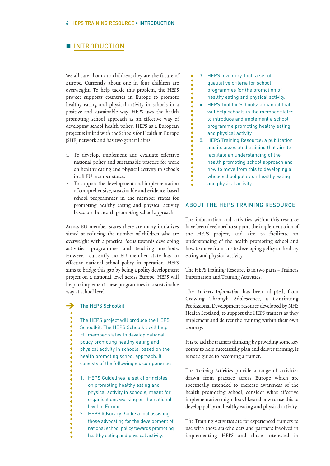# **NINTRODUCTION**

We all care about our children; they are the future of Europe. Currently about one in four children are overweight. To help tackle this problem, the HEPS project supports countries in Europe to promote healthy eating and physical activity in schools in a positive and sustainable way. HEPS uses the health promoting school approach as an effective way of developing school health policy. HEPS as a European project is linked with the Schools for Health in Europe (SHE) network and has two general aims:

- 1. To develop, implement and evaluate effective national policy and sustainable practice for work on healthy eating and physical activity in schools in all EU member states.
- 2. To support the development and implementation of comprehensive, sustainable and evidence-based school programmes in the member states for promoting healthy eating and physical activity based on the health promoting school approach.

Across EU member states there are many initiatives aimed at reducing the number of children who are overweight with a practical focus towards developing activities, programmes and teaching methods. However, currently no EU member state has an effective national school policy in operation. HEPS aims to bridge this gap by being a policy development project on a national level across Europe. HEPS will help to implement these programmes in a sustainable way at school level.

#### The HEPS Schoolkit >

The HEPS project will produce the HEPS

Schoolkit. The HEPS Schoolkit will help

- EU member states to develop national
- policy promoting healthy eating and

physical activity in schools, based on the

- health promoting school approach. It
- consists of the following six components:
- 1. HEPS Guidelines: a set of principles on promoting healthy eating and physical activity in schools, meant for organisations working on the national level in Europe.
- 2. HEPS Advocacy Guide: a tool assisting those advocating for the development of national school policy towards promoting healthy eating and physical activity.

3. HEPS Inventory Tool: a set of qualitative criteria for school programmes for the promotion of healthy eating and physical activity.

 $\ddot{\bullet}$  $\ddot{\bullet}$ 

ò  $\bullet$  $\ddot{\bullet}$  $\bullet$  $\bullet$  $\ddot{\bullet}$ 

 $\bullet$  $\bullet$  $\bullet$ ò  $\bullet$ 

- 4. HEPS Tool for Schools: a manual that will help schools in the member states to introduce and implement a school programme promoting healthy eating and physical activity.
- 5. HEPS Training Resource: a publication and its associated training that aim to facilitate an understanding of the health promoting school approach and how to move from this to developing a whole school policy on healthy eating and physical activity.

#### ABOUT THE HEPS TRAINING RESOURCE

The information and activities within this resource have been developed to support the implementation of the HEPS project, and aim to facilitate an understanding of the health promoting school and how to move from this to developing policy on healthy eating and physical activity.

The HEPS Training Resource is in two parts – Trainers Information and Training Activities.

The Trainers Information has been adapted, from Growing Through Adolescence, a Continuing Professional Development resource developed by NHS Health Scotland, to support the HEPS trainers as they implement and deliver the training within their own country.

It is to aid the trainers thinking by providing some key points to help successfully plan and deliver training. It is not a guide to becoming a trainer.

The Training Activities provide a range of activities drawn from practice across Europe which are specifically intended to increase awareness of the health promoting school, consider what effective implementation might look like and how to use this to develop policy on healthy eating and physical activity.

The Training Activities are for experienced trainers to use with those stakeholders and partners involved in implementing HEPS and those interested in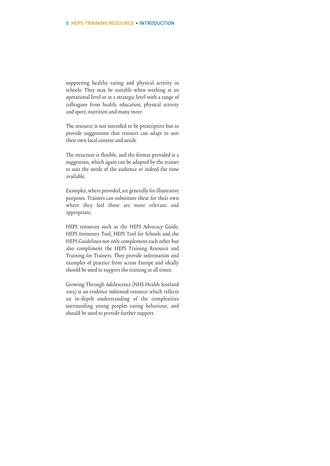supporting healthy eating and physical activity in schools. They may be suitable when working at an operational level or at a strategic level with a range of colleagues from health, education, physical activity and sport, nutrition and many more.

The resource is not intended to be prescriptive but to provide suggestions that trainers can adapt to suit their own local context and needs.

The structure is flexible, and the format provided is a suggestion, which again can be adapted by the trainer to suit the needs of the audience or indeed the time available.

Examples, where provided, are generally for illustrative purposes. Trainers can substitute these for their own where they feel these are more relevant and appropriate.

HEPS resources such as the HEPS Advocacy Guide, HEPS Inventory Tool, HEPS Tool for Schools and the HEPS Guidelines not only complement each other but also compliment the HEPS Training Resource and Training for Trainers. They provide information and examples of practice from across Europe and ideally should be used to support the training at all times.

Growing Through Adolescence (NHS Health Scotland 2005) is an evidence informed resource which reflects an in-depth understanding of the complexities surrounding young peoples eating behaviour, and should be used to provide further support.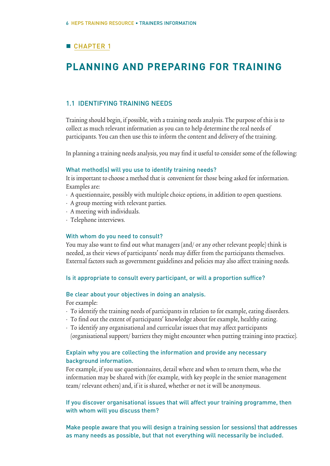# **CHAPTER 1**

# **PLANNING AND PREPARING FOR TRAINING**

## 1.1 IDENTIFYING TRAINING NEEDS

Training should begin, if possible, with a training needsanalysis. The purpose of this is to collect as much relevant information as you can to help determine the real needs of participants. You can then use this to inform the content and delivery of the training.

In planning a training needs analysis, you may find it useful to consider some of the following:

#### What method(s) will you use to identify training needs?

It is important to choose a method that is convenient for those being asked for information. Examples are:

- A questionnaire, possibly with multiple choice options, in addition to open questions.
- A group meeting with relevant parties.
- A meeting with individuals.
- Telephone interviews.

#### With whom do you need to consult?

You may also want to find out what managers (and/ or any other relevant people) think is needed, as their views of participants' needs may differ from the participants themselves. External factors such as government guidelines and policies may also affect training needs.

#### Is it appropriate to consult every participant, or will a proportion suffice?

## Be clear about your objectives in doing an analysis.

For example:

- To identify the training needs of participants in relation to for example, eating disorders.
- To find out the extent of participants' knowledge about for example, healthy eating.
- To identify any organisational and curricular issues that may affect participants (organisational support/ barriers they might encounter when putting training into practice).

## Explain why you are collecting the information and provide any necessary background information.

For example, if you use questionnaires, detail where and when to return them, who the information may be shared with (for example, with key people in the senior management team/ relevant others) and, if it is shared, whether or not it will be anonymous.

If you discover organisational issues that will affect your training programme, then with whom will you discuss them?

Make people aware that you will design a training session (or sessions) that addresses as many needs as possible, but that not everything will necessarily be included.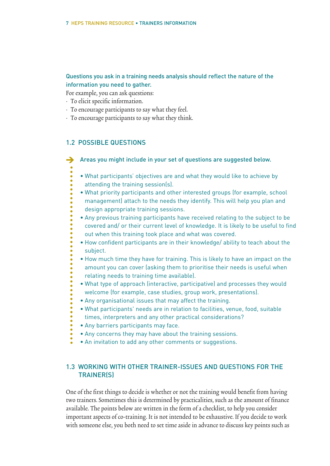# Questions you ask in a training needs analysis should reflect the nature of the information you need to gather.

For example, you can ask questions:

- To elicit specific information.
- To encourage participants to say what they feel.
- To encourage participants to say what they think.

## 1.2 POSSIBLE QUESTIONS

Areas you might include in your set of questions are suggested below.  $\rightarrow$ 

- What participants' objectives are and what they would like to achieve by attending the training session(s).
- What priority participants and other interested groups (for example, school management) attach to the needs they identify. This will help you plan and design appropriate training sessions.
- Any previous training participants have received relating to the subject to be covered and/ or their current level of knowledge. It is likely to be useful to find out when this training took place and what was covered.
- How confident participants are in their knowledge/ ability to teach about the subject.
- How much time they have for training. This is likely to have an impact on the amount you can cover (asking them to prioritise their needs is useful when relating needs to training time available).
- What type of approach (interactive, participative) and processes they would welcome (for example, case studies, group work, presentations).
- Any organisational issues that may affect the training.
- What participants' needs are in relation to facilities, venue, food, suitable times, interpreters and any other practical considerations?
- Any barriers participants may face.
- Any concerns they may have about the training sessions.
- An invitation to add any other comments or suggestions.

# 1.3 WORKING WITH OTHER TRAINER-ISSUES AND QUESTIONS FOR THE TRAINER(S)

One of the first things to decide is whether or not the training would benefit from having two trainers. Sometimes this is determined by practicalities, such as the amount of finance available. The points below are written in the form of a checklist, to help you consider important aspects of co-training. It is not intended to be exhaustive. If you decide to work with someone else, you both need to set time aside in advance to discuss key points such as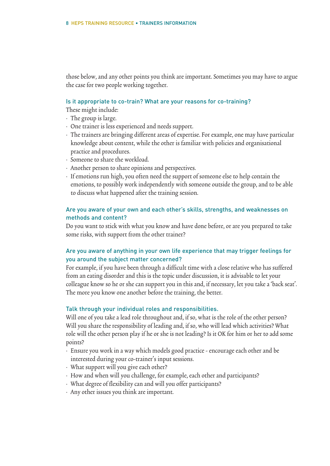those below, and any other points you think are important. Sometimes you may have to argue the case for two people working together.

#### Is it appropriate to co-train? What are your reasons for co-training?

These might include:

- The group is large.
- One trainer is less experienced and needs support.
- The trainers are bringing different areas of expertise. For example, one may have particular knowledge about content, while the other is familiar with policies and organisational practice and procedures.
- Someone to share the workload.
- Another person to share opinions and perspectives.
- If emotions run high, you often need the support of someone else to help contain the emotions, to possibly work independently with someone outside the group, and to be able to discuss what happened after the training session.

## Are you aware of your own and each other's skills, strengths, and weaknesses on methods and content?

Do you want to stick with what you know and have done before, or are you prepared to take some risks, with support from the other trainer?

# Are you aware of anything in your own life experience that may trigger feelings for you around the subject matter concerned?

For example, if you have been through a difficult time with a close relative who has suffered from an eating disorder and this is the topic under discussion, it is advisable to let your colleague know so he or she can support you in this and, if necessary, let you take a 'back seat'. The more you know one another before the training, the better.

#### Talk through your individual roles and responsibilities.

Will one of you take a lead role throughout and, if so, what is the role of the other person? Will you share the responsibility of leading and, if so, who will lead which activities? What role will the other person play if he or she is not leading? Is it OK for him or her to add some points?

- Ensure you work in a way which models good practice encourage each other and be interested during your co-trainer's input sessions.
- What support will you give each other?
- How and when will you challenge, for example, each other and participants?
- What degree of flexibility can and will you offer participants?
- Any other issues you think are important.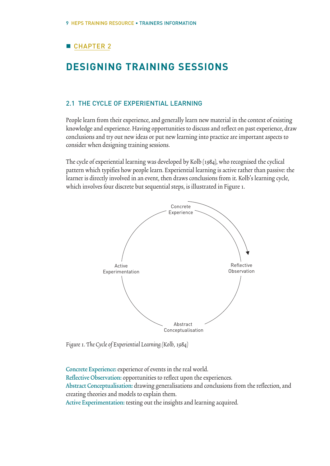# **CHAPTER 2**

# **DESIGNING TRAINING SESSIONS**

## 2.1 THE CYCLE OF EXPERIENTIAL LEARNING

People learn from their experience, and generally learn new material in the context of existing knowledge and experience. Having opportunities to discuss and reflect on past experience, draw conclusions and try out new ideas or put new learning into practice are important aspects to consider when designing training sessions.

The cycle of experiential learning was developed by Kolb (1984), who recognised the cyclical pattern which typifies how people learn. Experiential learning is active rather than passive: the learner is directly involved in an event, then draws conclusions from it. Kolb's learning cycle, which involves four discrete but sequential steps, is illustrated in Figure 1.



Figure 1. The Cycle of Experiential Learning (Kolb, 1984)

Concrete Experience: experience of events in the real world. Reflective Observation: opportunities to reflect upon the experiences. Abstract Conceptualisation: drawing generalisations and conclusions from the reflection, and creating theories and models to explain them.

Active Experimentation: testing out the insights and learning acquired.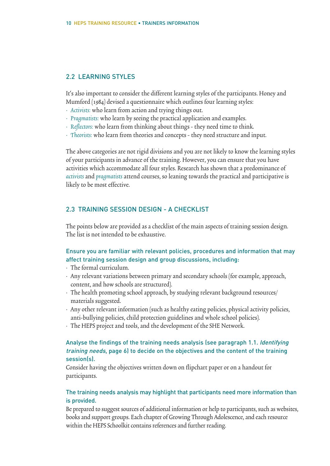# 2.2 LEARNING STYLES

It's also important to consider the different learning styles of the participants. Honey and Mumford (1984) devised a questionnaire which outlines four learning styles:

- Activists: who learn from action and trying things out.
- Pragmatists: who learn by seeing the practical application and examples.
- Reflectors: who learn from thinking about things they need time to think.
- Theorists: who learn from theories and concepts they need structure and input.

The above categories are not rigid divisions and you are not likely to know the learning styles of your participants in advance of the training. However, you can ensure that you have activities which accommodate all four styles. Research has shown that a predominance of activists and pragmatists attend courses, so leaning towards the practical and participative is likely to be most effective.

## 2.3 TRAINING SESSION DESIGN - A CHECKLIST

The points below are provided as a checklist of the main aspects of training session design. The list is not intended to be exhaustive.

## Ensure you are familiar with relevant policies, procedures and information that may affect training session design and group discussions, including:

- The formal curriculum.
- Any relevant variations between primary and secondary schools (for example, approach, content, and how schools are structured).
- The health promoting school approach, by studying relevant background resources/ materials suggested.
- Any other relevant information (such as healthy eating policies, physical activity policies, anti-bullying policies, child protection guidelines and whole school policies).
- The HEPS project and tools, and the development of the SHE Network.

# Analyse the findings of the training needs analysis (see paragraph 1.1. Identifying training needs, page 6) to decide on the objectives and the content of the training session(s).

Consider having the objectives written down on flipchart paper or on a handout for participants.

## The training needs analysis may highlight that participants need more information than is provided.

Be prepared to suggest sources of additional information or help to participants, such as websites, books and support groups. Each chapter of Growing Through Adolescence, and each resource within the HEPS Schoolkit contains references and further reading.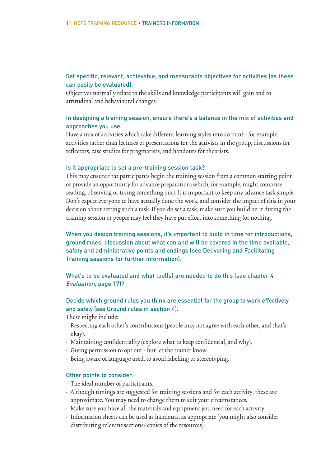## Set specific, relevant, achievable, and measurable objectives for activities (as these can easily be evaluated).

Objectives normally relate to the skills and knowledge participants will gain and to attitudinal and behavioural changes.

## In designing a training session, ensure there's a balance in the mix of activities and approaches you use.

Have a mix of activities which take different learning styles into account - for example, activities rather than lectures or presentations for the activists in the group, discussions for reflectors, case studies for pragmatists, and handouts for theorists.

#### Is it appropriate to set a pre-training session task?

This may ensure that participants begin the training session from a common starting point or provide an opportunity for advance preparation (which, for example, might comprise reading, observing or trying something out). It is important to keep any advance task simple. Don't expect everyone to have actually done the work, and consider the impact of this in your decision about setting such a task. If you do set a task, make sure you build on it during the training session or people may feel they have put effort into something for nothing.

When you design training sessions, it's important to build in time for introductions, ground rules, discussion about what can and will be covered in the time available, safety and administrative points and endings (see Delivering and Facilitating Training sessions for further information).

# What's to be evaluated and what tool(s) are needed to do this (see chapter 4 Evaluation, page 17)?

# Decide which ground rules you think are essential for the group to work effectively and safely (see Ground rules in section 4).

These might include:

- Respecting each other's contributions (people may not agree with each other, and that's okay).
- Maintaining confidentiality (explore what to keep confidential, and why).
- Giving permission to opt out but let the trainer know.
- Being aware of language used, to avoid labelling or stereotyping.

## Other points to consider:

- The ideal number of participants.
- Although timings are suggested for training sessions and for each activity, these are approximate. You may need to change them to suit your circumstances.
- Make sure you have all the materials and equipment you need for each activity.
- Information sheets can be used as handouts, as appropriate (you might also consider distributing relevant sections/ copies of the resources).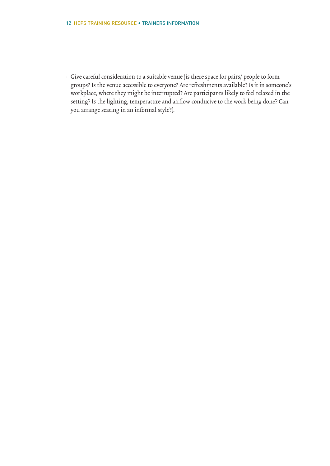• Give careful consideration to a suitable venue (is there space for pairs/ people to form groups? Is the venue accessible to everyone? Are refreshments available? Is it in someone's workplace, where they might be interrupted? Are participants likely to feel relaxed in the setting? Is the lighting, temperature and airflow conducive to the work being done? Can you arrange seating in an informal style?).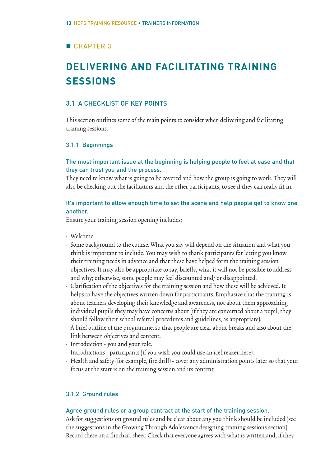# **CHAPTER 3**

# **DELIVERING AND FACILITATING TRAINING SESSIONS**

## 3.1 A CHECKLIST OF KEY POINTS

This section outlines some of the main points to consider when delivering and facilitating training sessions.

## 3.1.1 Beginnings

## The most important issue at the beginning is helping people to feel at ease and that they can trust you and the process.

They need to know what is going to be covered and how the group is going to work. They will also be checking out the facilitators and the other participants, to see if they can really fit in.

## It's important to allow enough time to set the scene and help people get to know one another.

Ensure your training session opening includes:

- Welcome.
- Some background to the course. What you say will depend on the situation and what you think is important to include. You may wish to thank participants for letting you know their training needs in advance and that these have helped form the training session objectives. It may also be appropriate to say, briefly, what it will not be possible to address and why; otherwise, some people may feel discounted and/ or disappointed.
- Clarification of the objectives for the training session and how these will be achieved. It helps to have the objectives written down for participants. Emphasize that the training is about teachers developing their knowledge and awareness, not about them approaching individual pupils they may have concerns about (if they are concerned about a pupil, they should follow their school referral procedures and guidelines, as appropriate).
- A brief outline of the programme, so that people are clear about breaks and also about the link between objectives and content.
- Introduction you and your role.
- Introductions participants (if you wish you could use an icebreaker here).
- Health and safety (for example, fire drill) cover any administration points later so that your focus at the start is on the training session and its content.

## 3.1.2 Ground rules

## Agree ground rules or a group contract at the start of the training session.

Ask for suggestions on ground rules and be clear about any you think should be included (see the suggestions in the Growing Through Adolescence designing training sessions section). Record these on a flipchart sheet. Check that everyone agrees with what is written and, if they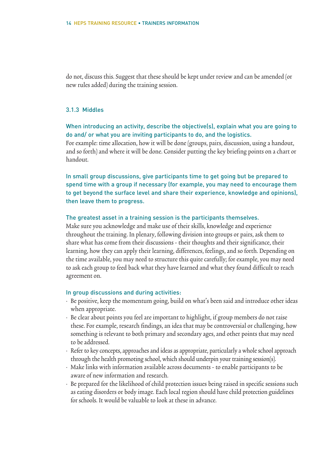do not, discuss this. Suggest that these should be kept under review and can be amended (or new rules added) during the training session.

## 3.1.3 Middles

# When introducing an activity, describe the objective(s), explain what you are going to do and/ or what you are inviting participants to do, and the logistics.

For example: time allocation, how it will be done (groups, pairs, discussion, using a handout, and so forth) and where it will be done. Consider putting the key briefing points on a chart or handout.

In small group discussions, give participants time to get going but be prepared to spend time with a group if necessary (for example, you may need to encourage them to get beyond the surface level and share their experience, knowledge and opinions), then leave them to progress.

## The greatest asset in a training session is the participants themselves.

Make sure you acknowledge and make use of their skills, knowledge and experience throughout the training. In plenary, following division into groups or pairs, ask them to share what has come from their discussions - their thoughts and their significance, their learning, how they can apply their learning, differences, feelings, and so forth. Depending on the time available, you may need to structure this quite carefully; for example, you may need to ask each group to feed back what they have learned and what they found difficult to reach agreement on.

#### In group discussions and during activities:

- Be positive, keep the momentum going, build on what's been said and introduce other ideas when appropriate.
- Be clear about points you feel are important to highlight, if group members do not raise these. For example, research findings, an idea that may be controversial or challenging, how something is relevant to both primary and secondary ages, and other points that may need to be addressed.
- Refer to key concepts, approaches and ideas as appropriate, particularly a whole school approach through the health promoting school, which should underpin your training session(s).
- Make links with information available across documents to enable participants to be aware of new information and research.
- Be prepared for the likelihood of child protection issues being raised in specific sessions such as eating disorders or body image. Each local region should have child protection guidelines for schools. It would be valuable to look at these in advance.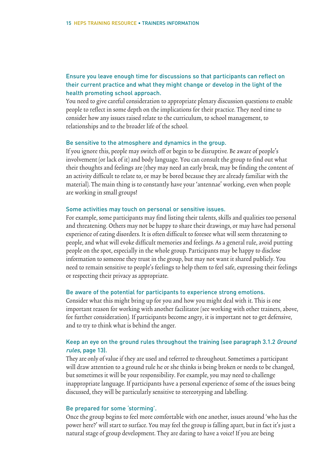# Ensure you leave enough time for discussions so that participants can reflect on their current practice and what they might change or develop in the light of the health promoting school approach.

You need to give careful consideration to appropriate plenary discussion questions to enable people to reflect in some depth on the implications for their practice. They need time to consider how any issues raised relate to the curriculum, to school management, to relationships and to the broader life of the school.

## Be sensitive to the atmosphere and dynamics in the group.

If you ignore this, people may switch off or begin to be disruptive. Be aware of people's involvement (or lack of it) and body language. You can consult the group to find out what their thoughts and feelings are (they may need an early break, may be finding the content of an activity difficult to relate to, or may be bored because they are already familiar with the material). The main thing is to constantly have your 'antennae' working, even when people are working in small groups!

### Some activities may touch on personal or sensitive issues.

For example, some participants may find listing their talents, skills and qualities too personal and threatening. Others may not be happy to share their drawings, or may have had personal experience of eating disorders. It is often difficult to foresee what will seem threatening to people, and what will evoke difficult memories and feelings. As a general rule, avoid putting people on the spot, especially in the whole group. Participants may be happy to disclose information to someone they trust in the group, but may not want it shared publicly. You need to remain sensitive to people's feelings to help them to feel safe, expressing their feelings or respecting their privacy as appropriate.

#### Be aware of the potential for participants to experience strong emotions.

Consider what this might bring up for you and how you might deal with it. This is one important reason for working with another facilitator (see working with other trainers, above, for further consideration). If participants become angry, it is important not to get defensive, and to try to think what is behind the anger.

## Keep an eye on the ground rules throughout the training (see paragraph 3.1.2 Ground rules, page 13).

They are only of value if they are used and referred to throughout. Sometimes a participant will draw attention to a ground rule he or she thinks is being broken or needs to be changed, but sometimes it will be your responsibility. For example, you may need to challenge inappropriate language. If participants have a personal experience of some of the issues being discussed, they will be particularly sensitive to stereotyping and labelling.

### Be prepared for some 'storming'.

Once the group begins to feel more comfortable with one another, issues around 'who has the power here?' will start to surface. You may feel the group is falling apart, but in fact it's just a natural stage of group development. They are daring to have a voice! If you are being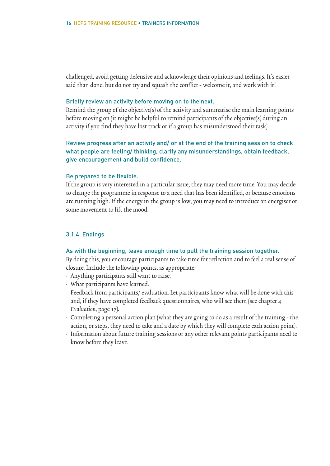challenged, avoid getting defensive and acknowledge their opinions and feelings. It's easier said than done, but do not try and squash the conflict - welcome it, and work with it!

## Briefly review an activity before moving on to the next.

Remind the group of the objective(s) of the activity and summarise the main learning points before moving on (it might be helpful to remind participants of the objective(s) during an activity if you find they have lost track or if a group has misunderstood their task).

Review progress after an activity and/ or at the end of the training session to check what people are feeling/ thinking, clarify any misunderstandings, obtain feedback, give encouragement and build confidence.

#### Be prepared to be flexible.

If the group is very interested in a particular issue, they may need more time. You may decide to change the programme in response to a need that has been identified, or because emotions are running high. If the energy in the group is low, you may need to introduce an energiser or some movement to lift the mood.

## 3.1.4 Endings

### As with the beginning, leave enough time to pull the training session together.

By doing this, you encourage participants to take time for reflection and to feel a real sense of closure. Include the following points, as appropriate:

- Anything participants still want to raise.
- What participants have learned.
- Feedback from participants/ evaluation. Let participants know what will be done with this and, if they have completed feedback questionnaires, who will see them (see chapter 4 Evaluation, page 17).
- Completing a personal action plan (what they are going to do as a result of the training the action, or steps, they need to take and a date by which they will complete each action point).
- Information about future training sessions or any other relevant points participants need to know before they leave.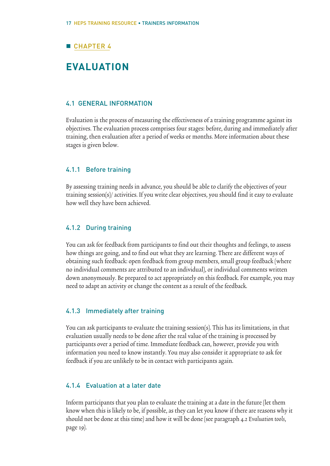# **CHAPTER 4**

# **EVALUATION**

## 4.1 GENERAL INFORMATION

Evaluation is the process of measuring the effectiveness of a training programme against its objectives. The evaluation process comprises four stages: before, during and immediately after training, then evaluation after a period of weeks or months. More information about these stages is given below.

## 4.1.1 Before training

By assessing training needs in advance, you should be able to clarify the objectives of your training session(s)/ activities. If you write clear objectives, you should find it easy to evaluate how well they have been achieved.

## 4.1.2 During training

You can ask for feedback from participants to find out their thoughts and feelings, to assess how things are going, and to find out what they are learning. There are different ways of obtaining such feedback: open feedback from group members, small group feedback (where no individual comments are attributed to an individual), or individual comments written down anonymously. Be prepared to act appropriately on this feedback. For example, you may need to adapt an activity or change the content as a result of the feedback.

## 4.1.3 Immediately after training

You can ask participants to evaluate the training session(s). This has its limitations, in that evaluation usually needs to be done after the real value of the training is processed by participants over a period of time. Immediate feedback can, however, provide you with information you need to know instantly. You may also consider it appropriate to ask for feedback if you are unlikely to be in contact with participants again.

## 4.1.4 Evaluation at a later date

Inform participants that you plan to evaluate the training at a date in the future (let them know when this is likely to be, if possible, as they can let you know if there are reasons why it should not be done at this time) and how it will be done (see paragraph 4.2 Evaluation tools, page 19).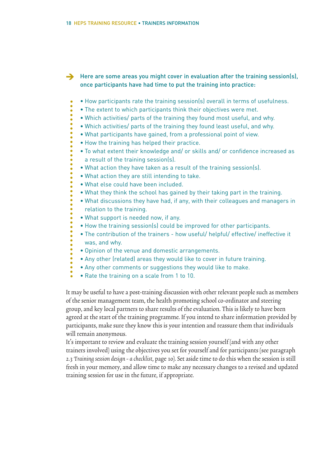→ Here are some areas you might cover in evaluation after the training session(s), once participants have had time to put the training into practice:

- How participants rate the training session(s) overall in terms of usefulness.
- The extent to which participants think their objectives were met.
- Which activities/ parts of the training they found most useful, and why.
- Which activities/ parts of the training they found least useful, and why.
- What participants have gained, from a professional point of view.
- How the training has helped their practice.
- To what extent their knowledge and/ or skills and/ or confidence increased as a result of the training session(s).
- What action they have taken as a result of the training session(s).
- What action they are still intending to take.
- What else could have been included.

 $\ddot{\bullet}$  $\bullet$  $\bullet$  $\ddot{\bullet}$ 

> $\bullet$  $\bullet$

 $\bullet$  $\bullet$  $\bullet$  $\bullet$  $\ddot{\bullet}$ 

 $\bullet$ 

 $\ddot{\bullet}$ 

- What they think the school has gained by their taking part in the training.
- What discussions they have had, if any, with their colleagues and managers in relation to the training.
- What support is needed now, if any.
- How the training session(s) could be improved for other participants.
- The contribution of the trainers how useful/ helpful/ effective/ ineffective it was, and why.
- Opinion of the venue and domestic arrangements.
- Any other (related) areas they would like to cover in future training.
- Any other comments or suggestions they would like to make.
- Rate the training on a scale from 1 to 10.

It may be useful to have a post-training discussion with other relevant people such as members of the senior management team, the health promoting school co-ordinator and steering group, and key local partners to share results of the evaluation. This is likely to have been agreed at the start of the training programme. If you intend to share information provided by participants, make sure they know this is your intention and reassure them that individuals will remain anonymous.

It's important to review and evaluate the training session yourself (and with any other trainers involved) using the objectives you set for yourself and for participants (see paragraph 2.3 Training session design - a checklist, page 10). Set aside time to do this when the session is still fresh in your memory, and allow time to make any necessary changes to a revised and updated training session for use in the future, if appropriate.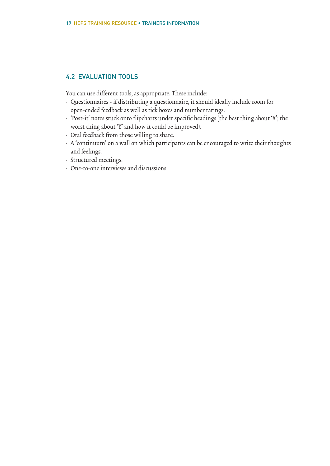# 4.2 EVALUATION TOOLS

You can use different tools, as appropriate. These include:

- Questionnaires if distributing a questionnaire, it should ideally include room for open-ended feedback as well as tick boxes and number ratings.
- 'Post-it' notes stuck onto flipcharts under specific headings (the best thing about 'X'; the worst thing about 'Y' and how it could be improved).
- Oral feedback from those willing to share.
- A 'continuum' on a wall on which participants can be encouraged to write their thoughts and feelings.
- Structured meetings.
- One-to-one interviews and discussions.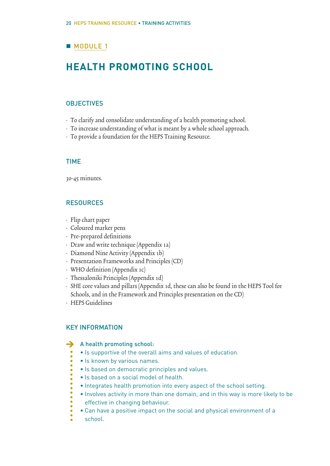# **MODULE 1**

# **HEALTH PROMOTING SCHOOL**

## **OBJECTIVES**

- To clarify and consolidate understanding of a health promoting school.
- To increase understanding of what is meant by a whole school approach.
- To provide a foundation for the HEPS Training Resource.

## TIME

30-45 minutes.

## **RESOURCES**

- Flip chart paper
- Coloured marker pens
- Pre-prepared definitions
- Draw and write technique (Appendix 1a)
- Diamond Nine Activity (Appendix 1b)
- Presentation Frameworks and Principles (CD)
- WHO definition (Appendix 1c)
- Thessaloniki Principles (Appendix 1d)
- SHE core values and pillars (Appendix 1d, these can also be found in the HEPS Tool for Schools, and in the Framework and Principles presentation on the CD)
- HEPS Guidelines

## KEY INFORMATION

#### A health promoting school:  $\rightarrow$

- Is supportive of the overall aims and values of education.
- Is known by various names.
- Is based on democratic principles and values.
- Is based on a social model of health.
- Integrates health promotion into every aspect of the school setting.
- Involves activity in more than one domain, and in this way is more likely to be effective in changing behaviour.
- Can have a positive impact on the social and physical environment of a school.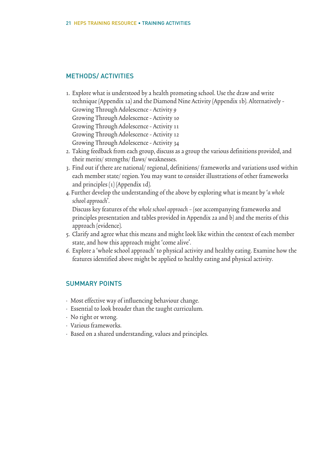## METHODS/ ACTIVITIES

1. Explore what is understood by a health promoting school. Use the draw and write technique (Appendix 1a) and the Diamond Nine Activity (Appendix 1b). Alternatively - Growing Through Adolescence - Activity 9

Growing Through Adolescence - Activity 10

Growing Through Adolescence - Activity 11

Growing Through Adolescence - Activity 12

Growing Through Adolescence - Activity 34

- 2. Taking feedback from each group, discuss as a group the various definitions provided, and their merits/ strengths/ flaws/ weaknesses.
- 3. Find out if there are national/ regional, definitions/ frameworks and variations used within each member state/ region. You may want to consider illustrations of other frameworks and principles (1) (Appendix 1d).
- 4. Further develop the understanding of the above by exploring what is meant by 'a whole school approach'.

Discuss key features of the whole school approach – (see accompanying frameworks and principles presentation and tables provided in Appendix 2a and b) and the merits of this approach (evidence).

- 5. Clarify and agree what this means and might look like within the context of each member state, and how this approach might 'come alive'.
- 6. Explore a 'whole school approach' to physical activity and healthy eating. Examine how the features identified above might be applied to healthy eating and physical activity.

## SUMMARY POINTS

- Most effective way of influencing behaviour change.
- Essential to look broader than the taught curriculum.
- No right or wrong.
- Various frameworks.
- Based on a shared understanding, values and principles.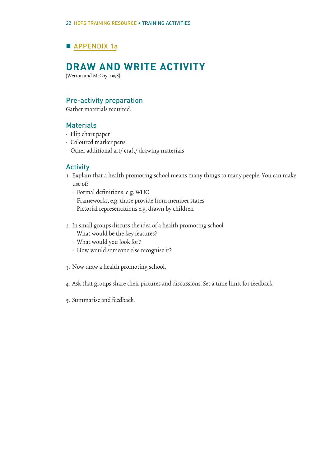# APPENDIX 1a

# **DRAW AND WRITE ACTIVITY**

(Wetton and McCoy, 1998)

# Pre-activity preparation

Gather materials required.

## **Materials**

- Flip chart paper
- Coloured marker pens
- Other additional art/ craft/ drawing materials

## Activity

- 1. Explain that a health promoting school means many things to many people. You can make use of:
	- Formal definitions, e.g. WHO
	- Frameworks, e.g. those provide from member states
	- Pictorial representations e.g. drawn by children
- 2. In small groups discuss the idea of a health promoting school
	- What would be the key features?
	- What would you look for?
	- How would someone else recognise it?
- 3. Now draw a health promoting school.
- 4. Ask that groups share their pictures and discussions. Set a time limit for feedback.
- 5. Summarise and feedback.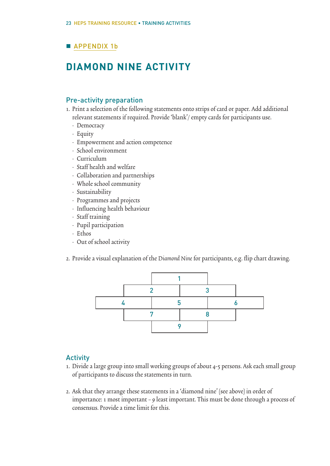# **APPENDIX 1b**

# **DIAMOND NINE ACTIVITY**

# Pre-activity preparation

- 1. Print a selection of the following statements onto strips of card or paper. Add additional relevant statements if required. Provide 'blank'/ empty cards for participants use.
	- Democracy
	- Equity
	- Empowerment and action competence
	- School environment
	- Curriculum
	- Staff health and welfare
	- Collaboration and partnerships
	- Whole school community
	- Sustainability
	- Programmes and projects
	- Influencing health behaviour
	- Staff training
	- Pupil participation
	- Ethos
	- Out of school activity
- 2. Provide a visual explanation of the Diamond Nine for participants, e.g. flip chart drawing.



# Activity

- 1. Divide a large group into small working groups of about 4-5 persons. Ask each small group of participants to discuss the statements in turn.
- 2. Ask that they arrange these statements in a 'diamond nine' (see above) in order of importance: 1 most important – 9 least important. This must be done through a process of consensus. Provide a time limit for this.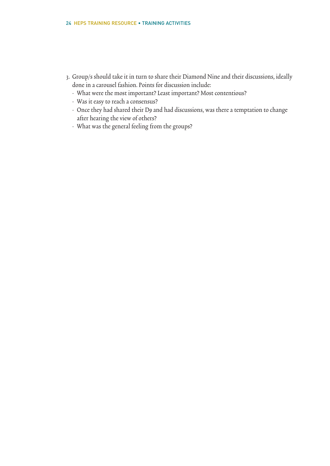- 3. Group/s should take it in turn to share their Diamond Nine and their discussions, ideally done in a carousel fashion. Points for discussion include:
	- What were the most important? Least important? Most contentious?
	- Was it easy to reach a consensus?
	- Once they had shared their D9 and had discussions, was there a temptation to change after hearing the view of others?
	- What was the general feeling from the groups?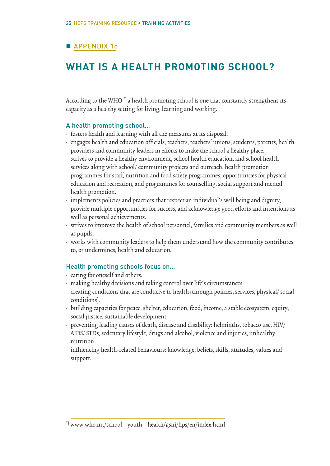# **APPENDIX 1c**

# **WHAT IS A HEALTH PROMOTING SCHOOL?**

According to the WHO<sup> $*$ </sup>) a health promoting school is one that constantly strengthens its capacity as a healthy setting for living, learning and working.

## A health promoting school…

- fosters health and learning with all the measures at its disposal.
- engages health and education officials, teachers, teachers' unions, students, parents, health providers and community leaders in efforts to make the school a healthy place.
- strives to provide a healthy environment, school health education, and school health services along with school/ community projects and outreach, health promotion programmes for staff, nutrition and food safety programmes, opportunities for physical education and recreation, and programmes for counselling, social support and mental health promotion.
- implements policies and practices that respect an individual's well being and dignity, provide multiple opportunities for success, and acknowledge good efforts and intentions as well as personal achievements.
- strives to improve the health of school personnel, families and community members as well as pupils.
- works with community leaders to help them understand how the community contributes to, or undermines, health and education.

## Health promoting schools focus on…

- caring for oneself and others.
- making healthy decisions and taking control over life's circumstances.
- creating conditions that are conducive to health (through policies, services, physical/ social conditions).
- building capacities for peace, shelter, education, food, income, a stable ecosystem, equity, social justice, sustainable development.
- preventing leading causes of death, disease and disability: helminths, tobacco use, HIV/ AIDS/ STDs, sedentary lifestyle, drugs and alcohol, violence and injuries, unhealthy nutrition.
- influencing health-related behaviours: knowledge, beliefs, skills, attitudes, values and support.

<sup>\*)</sup> www.who.int/school\_youth\_health/gshi/hps/en/index.html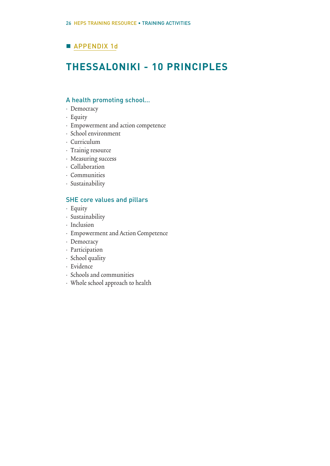# **APPENDIX 1d**

# **THESSALONIKI - 10 PRINCIPLES**

## A health promoting school…

- Democracy
- Equity
- Empowerment and action competence
- School environment
- Curriculum
- Trainig resource
- Measuring success
- Collaboration
- Communities
- Sustainability

## SHE core values and pillars

- Equity
- Sustainability
- Inclusion
- Empowerment and Action Competence
- Democracy
- Participation
- School quality
- Evidence
- Schools and communities
- Whole school approach to health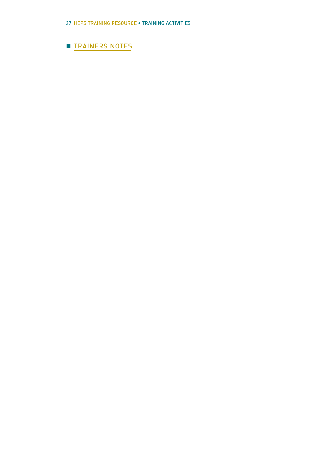# **TRAINERS NOTES**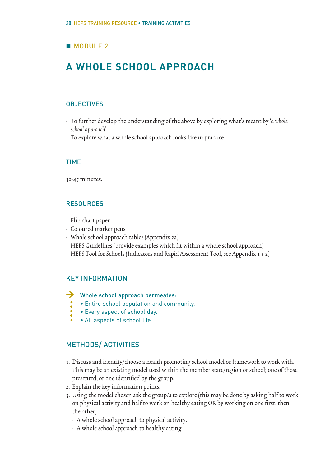# **MODULE 2**

# **A WHOLE SCHOOL APPROACH**

## **OBJECTIVES**

- To further develop the understanding of the above by exploring what's meant by 'a whole school approach'.
- To explore what a whole school approach looks like in practice.

## TIME

30-45 minutes.

## RESOURCES

- Flip chart paper
- Coloured marker pens
- Whole school approach tables (Appendix 2a)
- HEPS Guidelines (provide examples which fit within a whole school approach)
- HEPS Tool for Schools (Indicators and Rapid Assessment Tool, see Appendix 1 + 2)

## KEY INFORMATION

- → Whole school approach permeates:
	- Entire school population and community.
	- Every aspect of school day.
	- All aspects of school life.

# METHODS/ ACTIVITIES

- 1. Discuss and identify/choose a health promoting school model or framework to work with. This may be an existing model used within the member state/region or school; one of those presented, or one identified by the group.
- 2. Explain the key information points.
- 3. Using the model chosen ask the group/s to explore (this may be done by asking half to work on physical activity and half to work on healthy eating OR by working on one first, then the other).
	- A whole school approach to physical activity.
	- A whole school approach to healthy eating.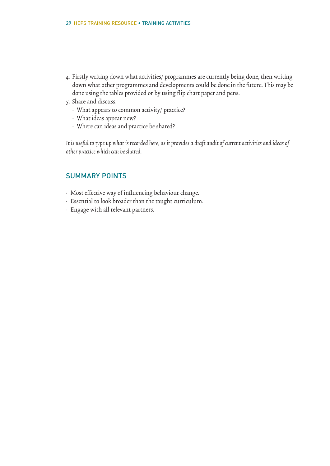- 4. Firstly writing down what activities/ programmes are currently being done, then writing down what other programmes and developments could be done in the future. This may be done using the tables provided or by using flip chart paper and pens.
- 5. Share and discuss:
	- What appears to common activity/ practice?
	- What ideas appear new?
	- Where can ideas and practice be shared?

It is useful to type up what is recorded here, as it provides a draft audit of current activities and ideas of other practice which can be shared.

# SUMMARY POINTS

- Most effective way of influencing behaviour change.
- Essential to look broader than the taught curriculum.
- Engage with all relevant partners.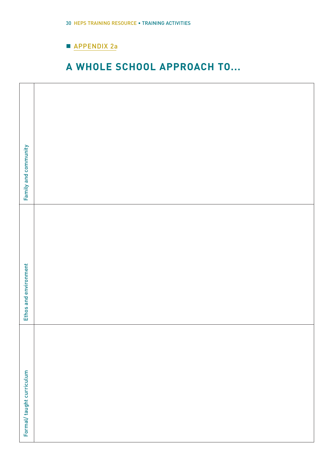# **APPENDIX 2a**

# **A WHOLE SCHOOL APPROACH TO...**

| Family and community      |  |
|---------------------------|--|
| Ethos and environment     |  |
| Formal/ taught curriculum |  |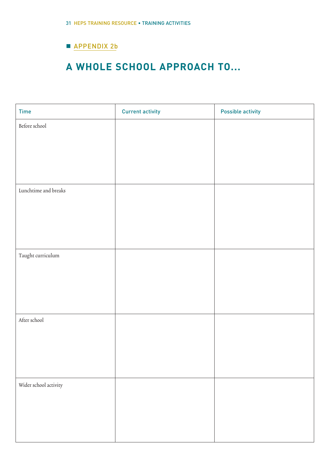# **APPENDIX 2b**

# **A WHOLE SCHOOL APPROACH TO...**

| Time                  | <b>Current activity</b> | <b>Possible activity</b> |
|-----------------------|-------------------------|--------------------------|
| Before school         |                         |                          |
|                       |                         |                          |
|                       |                         |                          |
|                       |                         |                          |
| Lunchtime and breaks  |                         |                          |
|                       |                         |                          |
|                       |                         |                          |
|                       |                         |                          |
|                       |                         |                          |
| Taught curriculum     |                         |                          |
|                       |                         |                          |
|                       |                         |                          |
|                       |                         |                          |
|                       |                         |                          |
|                       |                         |                          |
|                       |                         |                          |
|                       |                         |                          |
|                       |                         |                          |
| Wider school activity |                         |                          |
|                       |                         |                          |
|                       |                         |                          |
|                       |                         |                          |
|                       |                         |                          |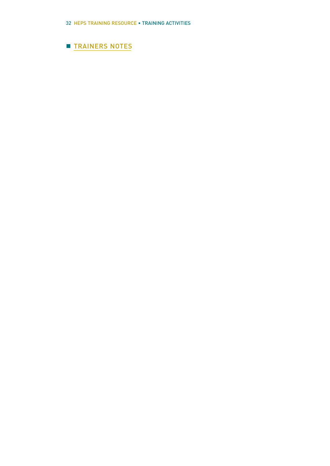# **TRAINERS NOTES**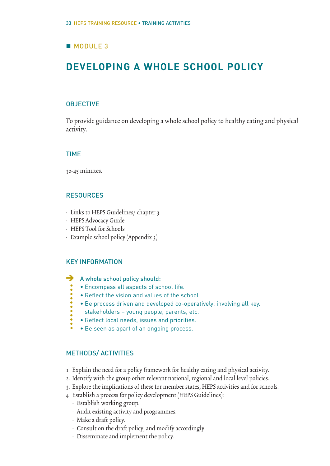# **MODULE 3**

# **DEVELOPING A WHOLE SCHOOL POLICY**

## **OBJECTIVE**

To provide guidance on developing a whole school policy to healthy eating and physical activity.

## TIME

30-45 minutes.

## **RESOURCES**

- Links to HEPS Guidelines/ chapter 3
- HEPS Advocacy Guide
- HEPS Tool for Schools
- Example school policy (Appendix 3)

## KEY INFORMATION

 $\ddot{\bullet}$ 

- A whole school policy should:  $\rightarrow$ 
	- Encompass all aspects of school life.
	- Reflect the vision and values of the school.
	- Be process driven and developed co-operatively, involving all key.
	- stakeholders young people, parents, etc.
	- Reflect local needs, issues and priorities.
	- Be seen as apart of an ongoing process.

## METHODS/ ACTIVITIES

- 1 Explain the need for a policy framework for healthy eating and physical activity.
- 2. Identify with the group other relevant national, regional and local level policies.
- 3. Explore the implications of these for member states, HEPS activities and for schools.
- 4 Establish a process for policy development (HEPS Guidelines):
	- Establish working group.
	- Audit existing activity and programmes.
	- Make a draft policy.
	- Consult on the draft policy, and modify accordingly.
	- Disseminate and implement the policy.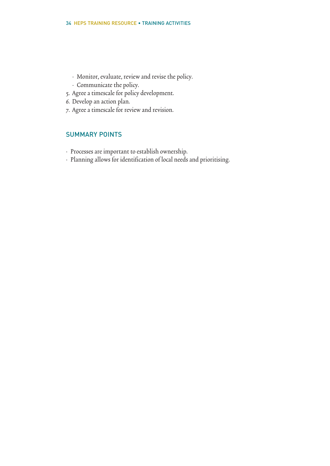- Monitor, evaluate, review and revise the policy.
- Communicate the policy.
- 5. Agree a timescale for policy development.
- 6. Develop an action plan.
- 7. Agree a timescale for review and revision.

# SUMMARY POINTS

- Processes are important to establish ownership.
- Planning allows for identification of local needs and prioritising.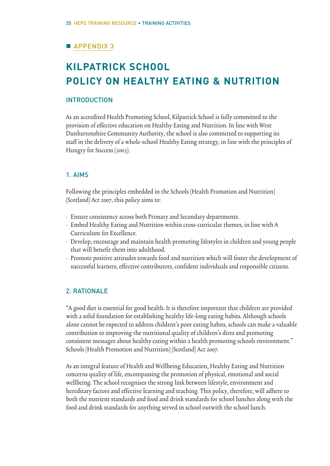# **APPENDIX 3**

# **KILPATRICK SCHOOL POLICY ON HEALTHY EATING & NUTRITION**

## INTRODUCTION

As an accredited Health Promoting School, Kilpatrick School is fully committed to the provision of effective education on Healthy Eating and Nutrition. In line with West Dunbartonshire Community Authority, the school is also committed to supporting its staff in the delivery of a whole-school Healthy Eating strategy, in line with the principles of Hungry for Success (2003).

## 1. AIMS

Following the principles embedded in the Schools (Health Promotion and Nutrition) (Scotland) Act 2007, this policy aims to:

- Ensure consistency across both Primary and Secondary departments.
- Embed Healthy Eating and Nutrition within cross-curricular themes, in line with A Curriculum for Excellence.
- Develop, encourage and maintain health promoting lifestyles in children and young people that will benefit them into adulthood.
- Promote positive attitudes towards food and nutrition which will foster the development of successful learners, effective contributors, confident individuals and responsible citizens.

# 2. RATIONALE

"A good diet is essential for good health. It is therefore important that children are provided with a solid foundation for establishing healthy life-long eating habits. Although schools alone cannot be expected to address children's poor eating habits, schools can make a valuable contribution to improving the nutritional quality of children's diets and promoting consistent messages about healthy eating within a health promoting schools environment." Schools (Health Promotion and Nutrition) (Scotland) Act 2007.

As an integral feature of Health and Wellbeing Education, Healthy Eating and Nutrition concerns quality of life, encompassing the promotion of physical, emotional and social wellbeing. The school recognises the strong link between lifestyle, environment and hereditary factors and effective learning and teaching. This policy, therefore, will adhere to both the nutrient standards and food and drink standards for school lunches along with the food and drink standards for anything served in school outwith the school lunch.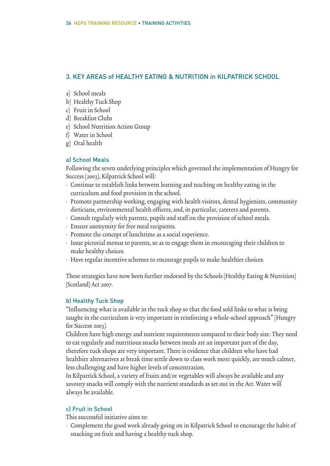# 3. KEY AREAS of HEALTHY EATING & NUTRITION in KILPATRICK SCHOOL

- a) School meals
- b) Healthy Tuck Shop
- c) Fruit in School
- d) Breakfast Clubs
- e) School Nutrition Action Group
- f) Water in School
- g) Oral health

# a) School Meals

Following the seven underlying principles which governed the implementation of Hungry for Success (2003), Kilpatrick School will:

- Continue to establish links between learning and teaching on healthy eating in the curriculum and food provision in the school.
- Promote partnership working, engaging with health visitors, dental hygienists, community dieticians, environmental health officers, and, in particular, caterers and parents.
- Consult regularly with parents, pupils and staff on the provision of school meals.
- Ensure anonymity for free meal recipients.
- Promote the concept of lunchtime as a social experience.
- Issue pictorial menus to parents, so as to engage them in encouraging their children to make healthy choices.
- Have regular incentive schemes to encourage pupils to make healthier choices.

These strategies have now been further endorsed by the Schools (Healthy Eating & Nutrition) (Scotland) Act 2007.

# b) Healthy Tuck Shop

"Influencing what is available in the tuck shop so that the food sold links to what is being taught in the curriculum is very important in reinforcing a whole-school approach" (Hungry for Success 2003).

Children have high energy and nutrient requirements compared to their body size. They need to eat regularly and nutritious snacks between meals are an important part of the day, therefore tuck shops are very important. There is evidence that children who have had healthier alternatives at break time settle down to class work more quickly, are much calmer, less challenging and have higher levels of concentration.

In Kilpatrick School, a variety of fruits and/or vegetables will always be available and any savoury snacks will comply with the nutrient standards as set out in the Act. Water will always be available.

# c) Fruit in School

This successful initiative aims to:

• Complement the good work already going on in Kilpatrick School to encourage the habit of snacking on fruit and having a healthy tuck shop.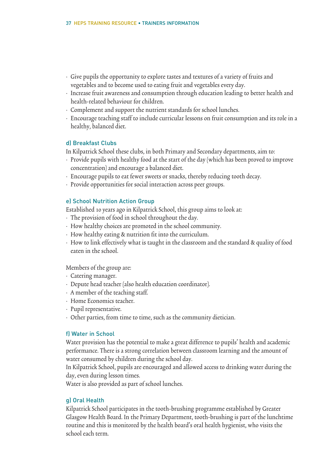- Give pupils the opportunity to explore tastes and textures of a variety of fruits and vegetables and to become used to eating fruit and vegetables every day.
- Increase fruit awareness and consumption through education leading to better health and health-related behaviour for children.
- Complement and support the nutrient standards for school lunches.
- Encourage teaching staff to include curricular lessons on fruit consumption and its role in a healthy, balanced diet.

## d) Breakfast Clubs

In Kilpatrick School these clubs, in both Primary and Secondary departments, aim to:

- Provide pupils with healthy food at the start of the day (which has been proved to improve concentration) and encourage a balanced diet.
- Encourage pupils to eat fewer sweets or snacks, thereby reducing tooth decay.
- Provide opportunities for social interaction across peer groups.

## e) School Nutrition Action Group

Established 10 years ago in Kilpatrick School, this group aims to look at:

- The provision of food in school throughout the day.
- How healthy choices are promoted in the school community.
- How healthy eating & nutrition fit into the curriculum.
- How to link effectively what is taught in the classroom and the standard & quality of food eaten in the school.

Members of the group are:

- Catering manager.
- Depute head teacher (also health education coordinator).
- A member of the teaching staff.
- Home Economics teacher.
- Pupil representative.
- Other parties, from time to time, such as the community dietician.

## f) Water in School

Water provision has the potential to make a great difference to pupils' health and academic performance. There is a strong correlation between classroom learning and the amount of water consumed by children during the school day.

In Kilpatrick School, pupils are encouraged and allowed access to drinking water during the day, even during lesson times.

Water is also provided as part of school lunches.

## g) Oral Health

Kilpatrick School participates in the tooth-brushing programme established by Greater Glasgow Health Board. In the Primary Department, tooth-brushing is part of the lunchtime routine and this is monitored by the health board's oral health hygienist, who visits the school each term.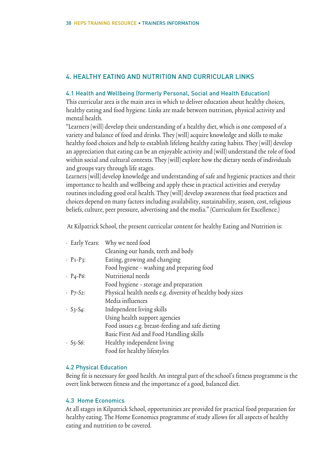# 4. HEALTHY EATING AND NUTRITION AND CURRICULAR LINKS

## 4.1 Health and Wellbeing (formerly Personal, Social and Health Education)

This curricular area is the main area in which to deliver education about healthy choices, healthy eating and food hygiene. Links are made between nutrition, physical activity and mental health.

"Learners (will) develop their understanding of a healthy diet, which is one composed of a variety and balance of food and drinks. They (will) acquire knowledge and skills to make healthy food choices and help to establish lifelong healthy eating habits. They (will) develop an appreciation that eating can be an enjoyable activity and (will) understand the role of food within social and cultural contexts. They (will) explore how the dietary needs of individuals and groups vary through life stages.

Learners (will) develop knowledge and understanding of safe and hygienic practices and their importance to health and wellbeing and apply these in practical activities and everyday routines including good oral health. They (will) develop awareness that food practices and choices depend on many factors including availability, sustainability, season, cost, religious beliefs, culture, peer pressure, advertising and the media." (Curriculum for Excellence.)

At Kilpatrick School, the present curricular content for healthy Eating and Nutrition is:

|                                          | · Early Years: Why we need food                            |
|------------------------------------------|------------------------------------------------------------|
|                                          | Cleaning our hands, teeth and body                         |
| $\cdot$ P <sub>1</sub> -P <sub>3</sub> : | Eating, growing and changing                               |
|                                          | Food hygiene - washing and preparing food                  |
| $\cdot$ P <sub>4</sub> -P <sub>6</sub> : | Nutritional needs                                          |
|                                          | Food hygiene – storage and preparation                     |
| $\cdot$ P7-S2:                           | Physical health needs e.g. diversity of healthy body sizes |
|                                          | Media influences                                           |
| $\cdot S_3-S_4$ :                        | Independent living skills                                  |
|                                          | Using health support agencies                              |
|                                          | Food issues e.g. breast-feeding and safe dieting           |
|                                          | Basic First Aid and Food Handling skills                   |
| $\cdot$ S5-S6:                           | Healthy independent living                                 |
|                                          | Food for healthy lifestyles                                |

# 4.2 Physical Education

Being fit is necessary for good health. An integral part of the school's fitness programme is the overt link between fitness and the importance of a good, balanced diet.

## 4.3 Home Economics

At all stages in Kilpatrick School, opportunities are provided for practical food preparation for healthy eating. The Home Economics programme of study allows for all aspects of healthy eating and nutrition to be covered.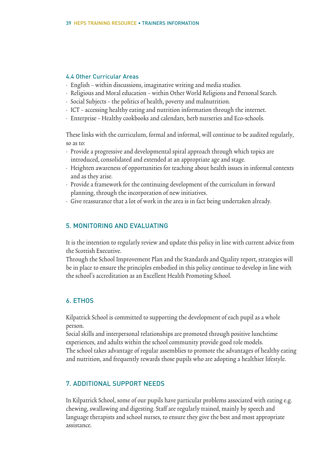## 4.4 Other Curricular Areas

- English within discussions, imaginative writing and media studies.
- Religious and Moral education within Other World Religions and Personal Search.
- Social Subjects the politics of health, poverty and malnutrition.
- ICT accessing healthy eating and nutrition information through the internet.
- Enterprise Healthy cookbooks and calendars, herb nurseries and Eco-schools.

These links with the curriculum, formal and informal, will continue to be audited regularly, so as to:

- Provide a progressive and developmental spiral approach through which topics are introduced, consolidated and extended at an appropriate age and stage.
- Heighten awareness of opportunities for teaching about health issues in informal contexts and as they arise.
- Provide a framework for the continuing development of the curriculum in forward planning, through the incorporation of new initiatives.
- Give reassurance that a lot of work in the area is in fact being undertaken already.

## 5. MONITORING AND EVALUATING

It is the intention to regularly review and update this policy in line with current advice from the Scottish Executive.

Through the School Improvement Plan and the Standards and Quality report, strategies will be in place to ensure the principles embodied in this policy continue to develop in line with the school's accreditation as an Excellent Health Promoting School.

# 6. ETHOS

Kilpatrick School is committed to supporting the development of each pupil as a whole person.

Social skills and interpersonal relationships are promoted through positive lunchtime experiences, and adults within the school community provide good role models. The school takes advantage of regular assemblies to promote the advantages of healthy eating and nutrition, and frequently rewards those pupils who are adopting a healthier lifestyle.

# 7. ADDITIONAL SUPPORT NEEDS

In Kilpatrick School, some of our pupils have particular problems associated with eating e.g. chewing, swallowing and digesting. Staff are regularly trained, mainly by speech and language therapists and school nurses, to ensure they give the best and most appropriate assistance.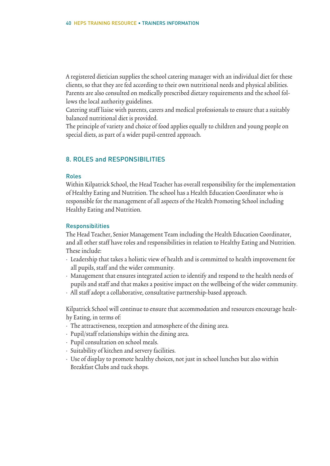A registered dietician supplies the school catering manager with an individual diet for these clients, so that they are fed according to their own nutritional needs and physical abilities. Parents are also consulted on medically prescribed dietary requirements and the school follows the local authority guidelines.

Catering staff liaise with parents, carers and medical professionals to ensure that a suitably balanced nutritional diet is provided.

The principle of variety and choice of food applies equally to children and young people on special diets, as part of a wider pupil-centred approach.

## 8. ROLES and RESPONSIBILITIES

#### Roles

Within Kilpatrick School, the Head Teacher has overall responsibility for the implementation of Healthy Eating and Nutrition. The school has a Health Education Coordinator who is responsible for the management of all aspects of the Health Promoting School including Healthy Eating and Nutrition.

#### **Responsibilities**

The Head Teacher, Senior Management Team including the Health Education Coordinator, and all other staff have roles and responsibilities in relation to Healthy Eating and Nutrition. These include:

- Leadership that takes a holistic view of health and is committed to health improvement for all pupils, staff and the wider community.
- Management that ensures integrated action to identify and respond to the health needs of pupils and staff and that makes a positive impact on the wellbeing of the wider community.
- All staff adopt a collaborative, consultative partnership-based approach.

Kilpatrick School will continue to ensure that accommodation and resources encourage healthy Eating, in terms of:

- The attractiveness, reception and atmosphere of the dining area.
- Pupil/staff relationships within the dining area.
- Pupil consultation on school meals.
- Suitability of kitchen and servery facilities.
- Use of display to promote healthy choices, not just in school lunches but also within Breakfast Clubs and tuck shops.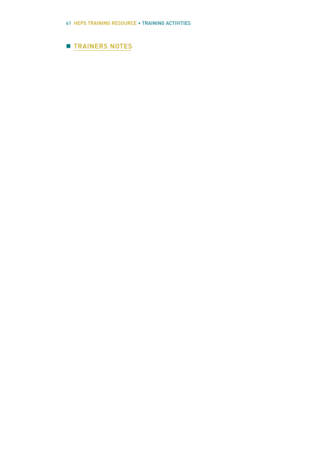# **TRAINERS NOTES**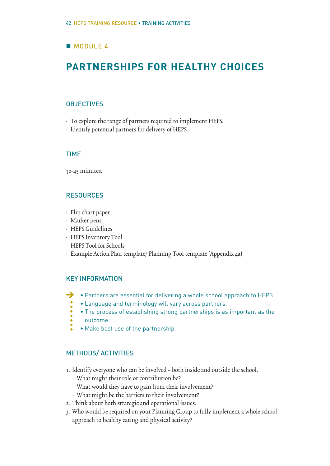# **MODULE 4**

# **PARTNERSHIPS FOR HEALTHY CHOICES**

## **OBJECTIVES**

- To explore the range of partners required to implement HEPS.
- Identify potential partners for delivery of HEPS.

## TIME

30-45 minutes.

## **RESOURCES**

- Flip chart paper
- Marker pens
- HEPS Guidelines
- HEPS Inventory Tool
- HEPS Tool for Schools
- Example Action Plan template/ Planning Tool template (Appendix 4a)

## KEY INFORMATION

- Partners are essential for delivering a whole school approach to HEPS.  $\rightarrow$ 
	- Language and terminology will vary across partners.
	- The process of establishing strong partnerships is as important as the outcome.
	-
	- Make best use of the partnership.

## METHODS/ ACTIVITIES

- 1. Identify everyone who can be involved both inside and outside the school.
	- What might their role or contribution be?
	- What would they have to gain from their involvement?
	- What might be the barriers to their involvement?
- 2. Think about both strategic and operational issues.
- 3. Who would be required on your Planning Group to fully implement a whole school approach to healthy eating and physical activity?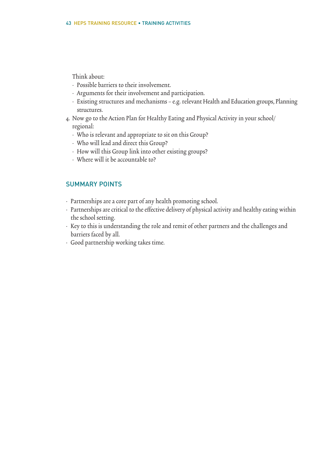## Think about:

- Possible barriers to their involvement.
- Arguments for their involvement and participation.
- Existing structures and mechanisms e.g. relevant Health and Education groups, Planning structures.
- 4. Now go to the Action Plan for Healthy Eating and Physical Activity in your school/ regional:
	- Who is relevant and appropriate to sit on this Group?
	- Who will lead and direct this Group?
	- How will this Group link into other existing groups?
	- Where will it be accountable to?

## SUMMARY POINTS

- Partnerships are a core part of any health promoting school.
- Partnerships are critical to the effective delivery of physical activity and healthy eating within the school setting.
- Key to this is understanding the role and remit of other partners and the challenges and barriers faced by all.
- Good partnership working takes time.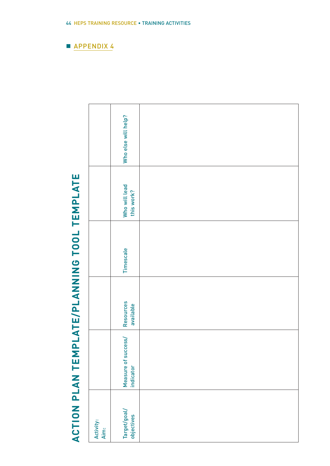|                              |                   | Who else will help?              |  |
|------------------------------|-------------------|----------------------------------|--|
|                              |                   | Who will lead<br>this work?      |  |
| PLATE/PLANNING TOOL TEMPLATE |                   | Timescale                        |  |
|                              |                   | Resources<br>available           |  |
|                              |                   | Measure of success/<br>indicator |  |
| ACTION PLAN TEM              | Activity:<br>Aim: | Target/goal/<br>objectives       |  |

# ACTION PLAN TEMPLATE/PLANNING TOOL TEMPLATE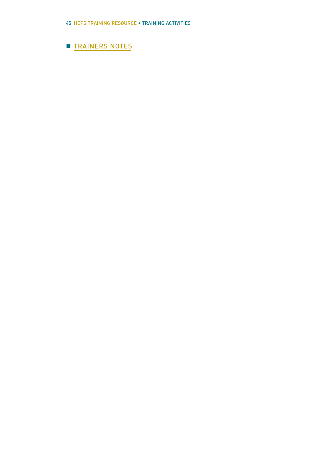# **TRAINERS NOTES**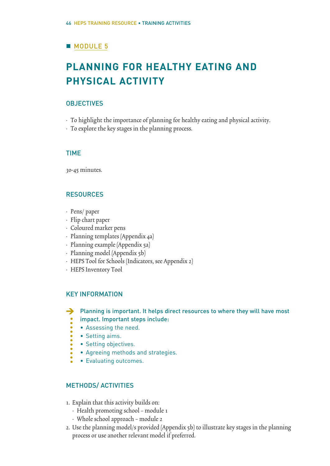# **MODULE 5**

# **PLANNING FOR HEALTHY EATING AND PHYSICAL ACTIVITY**

## **OBJECTIVES**

- To highlight the importance of planning for healthy eating and physical activity.
- To explore the key stages in the planning process.

## TIME

30-45 minutes.

# RESOURCES

- Pens/ paper
- Flip chart paper
- Coloured marker pens
- Planning templates (Appendix 4a)
- Planning example (Appendix 5a)
- Planning model (Appendix 5b)
- HEPS Tool for Schools (Indicators, see Appendix 2)
- HEPS Inventory Tool

# KEY INFORMATION

> Planning is important. It helps direct resources to where they will have most impact. Important steps include:

- Assessing the need.
- Setting aims.
- Setting objectives.
- Agreeing methods and strategies.
- Evaluating outcomes.

# METHODS/ ACTIVITIES

- 1. Explain that this activity builds on:
	- Health promoting school module 1
	- Whole school approach module 2
- 2. Use the planning model/s provided (Appendix 5b) to illustrate key stages in the planning process or use another relevant model if preferred.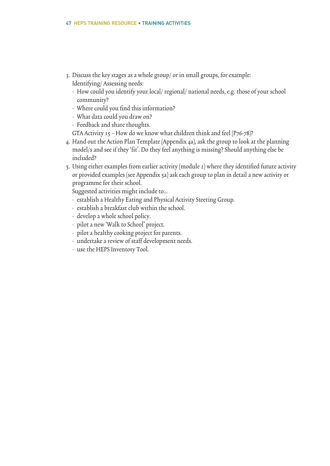- 3. Discuss the key stages as a whole group/ or in small groups, for example: Identifying/ Assessing needs:
	- How could you identify your local/ regional/ national needs, e.g. those of your school community?
	- Where could you find this information?
	- What data could you draw on?
	- Feedback and share thoughts.
	- GTA Activity 15 How do we know what children think and feel (P76-78)?
- 4. Hand out the Action Plan Template (Appendix 4a), ask the group to look at the planning model/s and see if they 'fit'. Do they feel anything is missing? Should anything else be included?
- 5. Using either examples from earlier activity (module 2) where they identified future activity or provided examples (see Appendix 5a) ask each group to plan in detail a new activity or programme for their school.

Suggested activities might include to…

- establish a Healthy Eating and Physical Activity Steering Group.
- establish a breakfast club within the school.
- develop a whole school policy.
- pilot a new 'Walk to School' project.
- pilot a healthy cooking project for parents.
- undertake a review of staff development needs.
- use the HEPS Inventory Tool.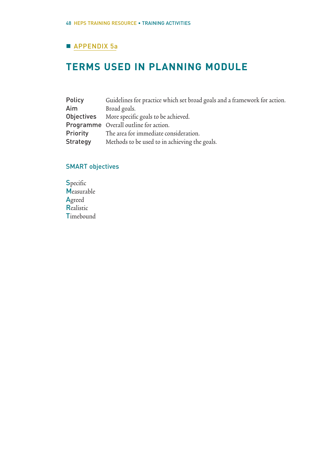# **APPENDIX 5a**

# **TERMS USED IN PLANNING MODULE**

| Policy          | Guidelines for practice which set broad goals and a framework for action. |
|-----------------|---------------------------------------------------------------------------|
| Aim             | Broad goals.                                                              |
| Objectives      | More specific goals to be achieved.                                       |
|                 | <b>Programme</b> Overall outline for action.                              |
| <b>Priority</b> | The area for immediate consideration.                                     |
| Strategy        | Methods to be used to in achieving the goals.                             |

# SMART objectives

**Specific Measurable** Agreed **Realistic** Timebound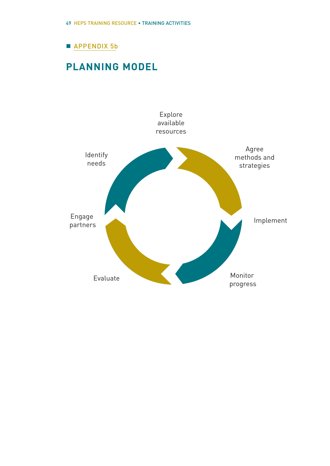# **APPENDIX 5b**

# **PLANNING MODEL**

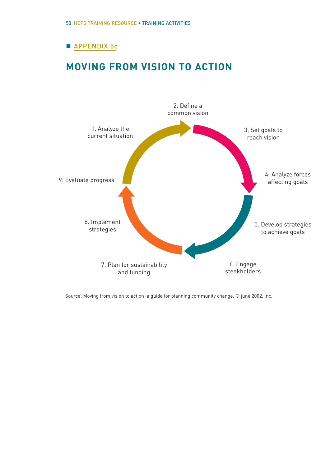# **APPENDIX 5c**

# **MOVING FROM VISION TO ACTION**



Source: Moving from vision to action: a guide for planning community change, © june 2002, Inc.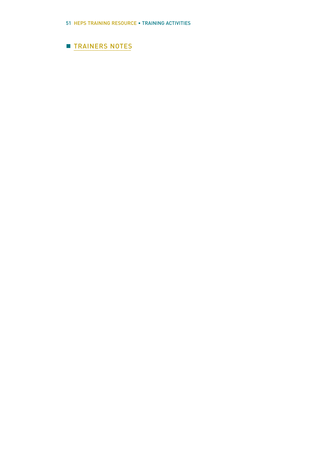# **TRAINERS NOTES**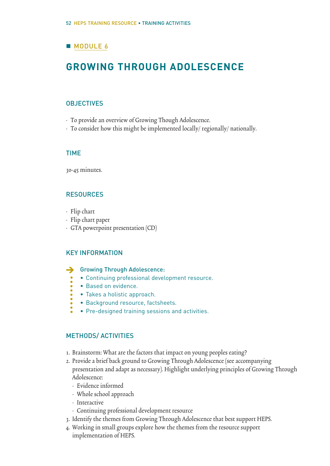# **MODULE 6**

# **GROWING THROUGH ADOLESCENCE**

## **OBJECTIVES**

- To provide an overview of Growing Though Adolescence.
- To consider how this might be implemented locally/ regionally/ nationally.

## TIME

30-45 minutes.

## RESOURCES

- Flip chart
- Flip chart paper
- GTA powerpoint presentation (CD)

## KEY INFORMATION

- Growing Through Adolescence: >
	- Continuing professional development resource.
	- Based on evidence.
	- Takes a holistic approach.
	- Background resource, factsheets.
	- Pre-designed training sessions and activities.

## METHODS/ ACTIVITIES

- 1. Brainstorm: What are the factors that impact on young peoples eating?
- 2. Provide a brief back ground to Growing Through Adolescence (see accompanying presentation and adapt as necessary). Highlight underlying principles of Growing Through Adolescence:
	- Evidence informed
	- Whole school approach
	- Interactive
	- Continuing professional development resource
- 3. Identify the themes from Growing Through Adolescence that best support HEPS.
- 4. Working in small groups explore how the themes from the resource support implementation of HEPS.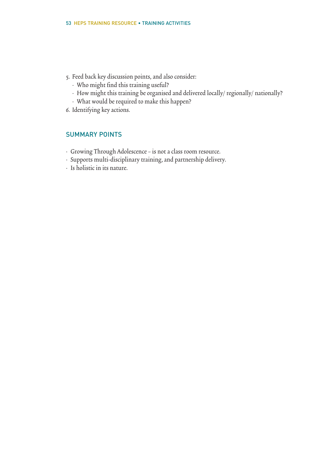- 5. Feed back key discussion points, and also consider:
	- Who might find this training useful?
	- How might this training be organised and delivered locally/ regionally/ nationally?
	- What would be required to make this happen?
- 6. Identifying key actions.

## SUMMARY POINTS

- Growing Through Adolescence is not a class room resource.
- Supports multi-disciplinary training, and partnership delivery.
- Is holistic in its nature.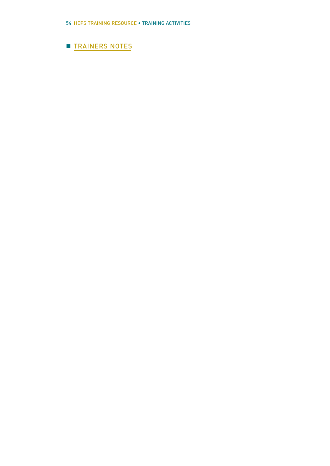# **TRAINERS NOTES**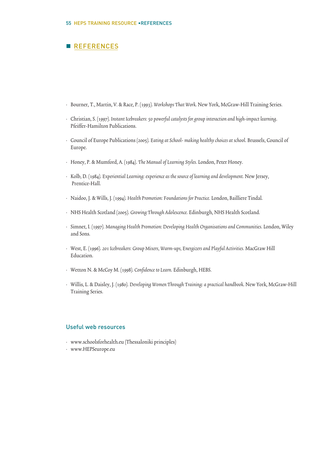# **REFERENCES**

- Bourner, T., Martin, V. & Race, P. (1993). Workshops That Work. New York, McGraw-Hill Training Series.
- Christian, S. (1997). Instant Icebreakers: 50 powerful catalysts for group interaction and high-impact learning. Pfeiffer-Hamilton Publications.
- Council of Europe Publications (2005). Eating at School- making healthy choices at school. Brussels, Council of Europe.
- Honey, P. & Mumford, A. (1984). The Manual of Learning Styles.London, Peter Honey.
- Kolb, D. (1984). Experiential Learning: experience as the source of learning and development. New Jersey, Prentice-Hall.
- Naidoo, J. & Wills, J. (1994). Health Promotion: Foundations for Practice.London, Bailliere Tindal.
- NHS Health Scotland (2005). Growing Through Adolescence. Edinburgh, NHS Health Scotland.
- Simnet, I. (1997). Managing Health Promotion: Developing Health Organisations and Communities. London, Wiley and Sons.
- West, E. (1996). 201 Icebreakers: Group Mixers, Warm-ups, Energizers and Playful Activities. MacGraw Hill Education.
- Wetton N. & McCoy M. (1998). Confidence to Learn. Edinburgh, HEBS.
- Willis, L. & Daisley, J. (1980). Developing Women Through Training: a practical handbook. New York, McGraw-Hill Training Series.

#### Useful web resources

- www.schoolsforhealth.eu (Thessaloniki principles)
- www.HEPSeurope.eu